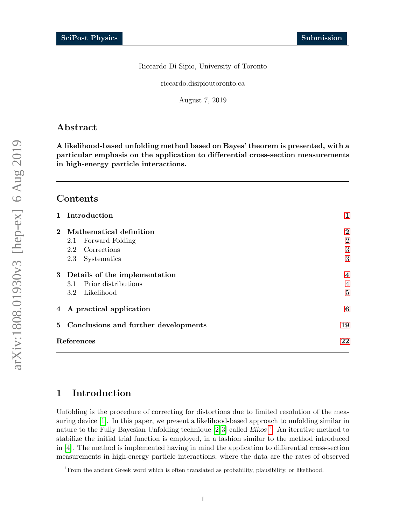Riccardo Di Sipio, University of Toronto

riccardo.disipioutoronto.ca

August 7, 2019

### Abstract

A likelihood-based unfolding method based on Bayes' theorem is presented, with a particular emphasis on the application to differential cross-section measurements in high-energy particle interactions.

### Contents

| 1 Introduction                         | 1              |
|----------------------------------------|----------------|
| Mathematical definition<br>$2^{\circ}$ | $\bf{2}$       |
| 2.1 Forward Folding                    | $\overline{2}$ |
| Corrections<br>2.2                     | 3              |
| 2.3 Systematics                        | 3              |
| 3 Details of the implementation        | 4              |
| 3.1 Prior distributions                | $\overline{4}$ |
| 3.2 Likelihood                         | 5              |
| 4 A practical application              | 6              |
| 5 Conclusions and further developments | 19             |
| References                             | 22             |
|                                        |                |

# <span id="page-0-0"></span>1 Introduction

Unfolding is the procedure of correcting for distortions due to limited resolution of the measuring device [\[1\]](#page-21-0). In this paper, we present a likelihood-based approach to unfolding similar in nature to the Fully Bayesian Unfolding technique  $[2,3]$  $[2,3]$  called Eikos<sup>[1](#page-0-1)</sup>. An iterative method to stabilize the initial trial function is employed, in a fashion similar to the method introduced in [\[4\]](#page-21-3). The method is implemented having in mind the application to differential cross-section measurements in high-energy particle interactions, where the data are the rates of observed

<span id="page-0-1"></span><sup>&</sup>lt;sup>1</sup>From the ancient Greek word which is often translated as probability, plausibility, or likelihood.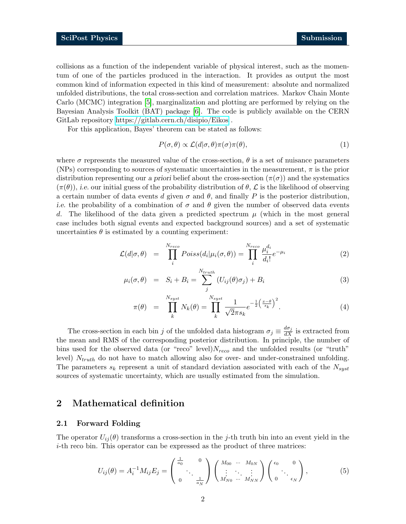collisions as a function of the independent variable of physical interest, such as the momentum of one of the particles produced in the interaction. It provides as output the most common kind of information expected in this kind of measurement: absolute and normalized unfolded distributions, the total cross-section and correlation matrices. Markov Chain Monte Carlo (MCMC) integration [\[5\]](#page-21-4), marginalization and plotting are performed by relying on the Bayesian Analysis Toolkit (BAT) package [\[6\]](#page-21-5). The code is publicly available on the CERN GitLab repository<https://gitlab.cern.ch/disipio/Eikos> .

For this application, Bayes' theorem can be stated as follows:

$$
P(\sigma, \theta) \propto \mathcal{L}(d|\sigma, \theta)\pi(\sigma)\pi(\theta), \tag{1}
$$

where  $\sigma$  represents the measured value of the cross-section,  $\theta$  is a set of nuisance parameters (NPs) corresponding to sources of systematic uncertainties in the measurement,  $\pi$  is the prior distribution representing our a priori belief about the cross-section  $(\pi(\sigma))$  and the systematics  $(\pi(\theta))$ , i.e. our initial guess of the probability distribution of  $\theta$ ,  $\mathcal L$  is the likelihood of observing a certain number of data events d given  $\sigma$  and  $\theta$ , and finally P is the posterior distribution, i.e. the probability of a combination of  $\sigma$  and  $\theta$  given the number of observed data events d. The likelihood of the data given a predicted spectrum  $\mu$  (which in the most general case includes both signal events and expected background sources) and a set of systematic uncertainties  $\theta$  is estimated by a counting experiment:

$$
\mathcal{L}(d|\sigma,\theta) = \prod_{i}^{N_{reco}} Poiss(d_i|\mu_i(\sigma,\theta)) = \prod_{i}^{N_{reco}} \frac{\mu_i^{d_i}}{d_i!} e^{-\mu_i}
$$
(2)

$$
\mu_i(\sigma,\theta) = S_i + B_i = \sum_j^{N_{truth}} (U_{ij}(\theta)\sigma_j) + B_i
$$
\n(3)

$$
\pi(\theta) = \prod_{k}^{N_{syst}} N_k(\theta) = \prod_{k}^{N_{syst}} \frac{1}{\sqrt{2}\pi s_k} e^{-\frac{1}{2} \left(\frac{x-\theta}{s_k}\right)^2}.
$$
\n(4)

The cross-section in each bin j of the unfolded data histogram  $\sigma_j \equiv \frac{d\sigma_j}{dX}$  is extracted from the mean and RMS of the corresponding posterior distribution. In principle, the number of bins used for the observed data (or "reco" level) $N_{reco}$  and the unfolded results (or "truth" level)  $N_{truth}$  do not have to match allowing also for over- and under-constrained unfolding. The parameters  $s_k$  represent a unit of standard deviation associated with each of the  $N_{syst}$ sources of systematic uncertainty, which are usually estimated from the simulation.

### <span id="page-1-0"></span>2 Mathematical definition

#### <span id="page-1-1"></span>2.1 Forward Folding

The operator  $U_{ij}(\theta)$  transforms a cross-section in the j-th truth bin into an event yield in the i-th reco bin. This operator can be expressed as the product of three matrices:

$$
U_{ij}(\theta) = A_i^{-1} M_{ij} E_j = \begin{pmatrix} \frac{1}{a_0} & 0 \\ 0 & \frac{1}{a_N} \end{pmatrix} \begin{pmatrix} M_{00} & \cdots & M_{0N} \\ \vdots & \ddots & \vdots \\ M_{N0} & \cdots & M_{NN} \end{pmatrix} \begin{pmatrix} \epsilon_0 & 0 \\ 0 & \cdots & 0 \\ 0 & \cdots & \epsilon_N \end{pmatrix},\tag{5}
$$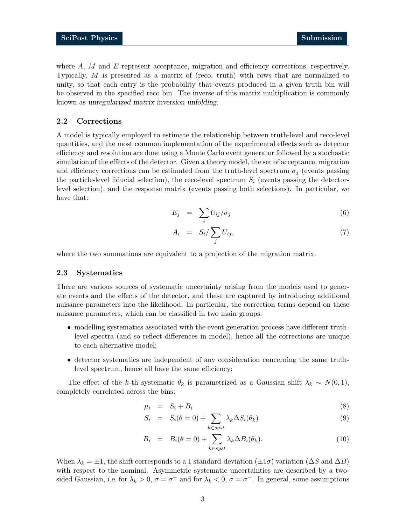where  $A$ ,  $M$  and  $E$  represent acceptance, migration and efficiency corrections, respectively. Typically, M is presented as a matrix of (reco, truth) with rows that are normalized to unity, so that each entry is the probability that events produced in a given truth bin will be observed in the specified reco bin. The inverse of this matrix multiplication is commonly known as unregularized matrix inversion unfolding.

#### <span id="page-2-0"></span>2.2 Corrections

A model is typically employed to estimate the relationship between truth-level and reco-level quantities, and the most common implementation of the experimental effects such as detector efficiency and resolution are done using a Monte Carlo event generator followed by a stochastic simulation of the effects of the detector. Given a theory model, the set of acceptance, migration and efficiency corrections can be estimated from the truth-level spectrum  $\sigma_j$  (events passing the particle-level fiducial selection), the reco-level spectrum  $S_i$  (events passing the detectorlevel selection), and the response matrix (events passing both selections). In particular, we have that:

$$
E_j = \sum_i U_{ij}/\sigma_j \tag{6}
$$

$$
A_i = S_i / \sum_j U_{ij}, \qquad (7)
$$

where the two summations are equivalent to a projection of the migration matrix.

#### <span id="page-2-1"></span>2.3 Systematics

There are various sources of systematic uncertainty arising from the models used to generate events and the effects of the detector, and these are captured by introducing additional nuisance parameters into the likelihood. In particular, the correction terms depend on these nuisance parameters, which can be classified in two main groups:

- modelling systematics associated with the event generation process have different truthlevel spectra (and so reflect differences in model), hence all the corrections are unique to each alternative model;
- detector systematics are independent of any consideration concerning the same truthlevel spectrum, hence all have the same efficiency;

The effect of the k-th systematic  $\theta_k$  is parametrized as a Gaussian shift  $\lambda_k \sim N(0, 1)$ , completely correlated across the bins:

$$
\mu_i = S_i + B_i \tag{8}
$$

$$
S_i = S_i(\theta = 0) + \sum_{k \in syst} \lambda_k \Delta S_i(\theta_k)
$$
\n(9)

$$
B_i = B_i(\theta = 0) + \sum_{k \in syst} \lambda_k \Delta B_i(\theta_k). \tag{10}
$$

When  $\lambda_k = \pm 1$ , the shift corresponds to a 1 standard-deviation ( $\pm 1\sigma$ ) variation ( $\Delta S$  and  $\Delta B$ ) with respect to the nominal. Asymmetric systematic uncertainties are described by a twosided Gaussian, *i.e.* for  $\lambda_k > 0$ ,  $\sigma = \sigma^+$  and for  $\lambda_k < 0$ ,  $\sigma = \sigma^-$ . In general, some assumptions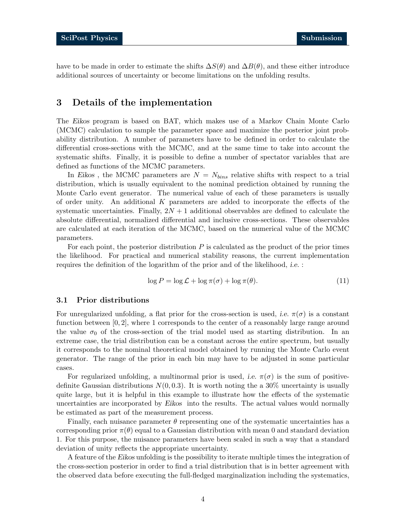have to be made in order to estimate the shifts  $\Delta S(\theta)$  and  $\Delta B(\theta)$ , and these either introduce additional sources of uncertainty or become limitations on the unfolding results.

## <span id="page-3-0"></span>3 Details of the implementation

The Eikos program is based on BAT, which makes use of a Markov Chain Monte Carlo (MCMC) calculation to sample the parameter space and maximize the posterior joint probability distribution. A number of parameters have to be defined in order to calculate the differential cross-sections with the MCMC, and at the same time to take into account the systematic shifts. Finally, it is possible to define a number of spectator variables that are defined as functions of the MCMC parameters.

In Eikos, the MCMC parameters are  $N = N_{bins}$  relative shifts with respect to a trial distribution, which is usually equivalent to the nominal prediction obtained by running the Monte Carlo event generator. The numerical value of each of these parameters is usually of order unity. An additional K parameters are added to incorporate the effects of the systematic uncertainties. Finally,  $2N + 1$  additional observables are defined to calculate the absolute differential, normalized differential and inclusive cross-sections. These observables are calculated at each iteration of the MCMC, based on the numerical value of the MCMC parameters.

For each point, the posterior distribution  $P$  is calculated as the product of the prior times the likelihood. For practical and numerical stability reasons, the current implementation requires the definition of the logarithm of the prior and of the likelihood, i.e. :

$$
\log P = \log \mathcal{L} + \log \pi(\sigma) + \log \pi(\theta). \tag{11}
$$

#### <span id="page-3-1"></span>3.1 Prior distributions

For unregularized unfolding, a flat prior for the cross-section is used, i.e.  $\pi(\sigma)$  is a constant function between [0, 2], where 1 corresponds to the center of a reasonably large range around the value  $\sigma_0$  of the cross-section of the trial model used as starting distribution. In an extreme case, the trial distribution can be a constant across the entire spectrum, but usually it corresponds to the nominal theoretical model obtained by running the Monte Carlo event generator. The range of the prior in each bin may have to be adjusted in some particular cases.

For regularized unfolding, a multinormal prior is used, i.e.  $\pi(\sigma)$  is the sum of positivedefinite Gaussian distributions  $N(0, 0.3)$ . It is worth noting the a 30% uncertainty is usually quite large, but it is helpful in this example to illustrate how the effects of the systematic uncertainties are incorporated by Eikos into the results. The actual values would normally be estimated as part of the measurement process.

Finally, each nuisance parameter  $\theta$  representing one of the systematic uncertainties has a corresponding prior  $\pi(\theta)$  equal to a Gaussian distribution with mean 0 and standard deviation 1. For this purpose, the nuisance parameters have been scaled in such a way that a standard deviation of unity reflects the appropriate uncertainty.

A feature of the Eikos unfolding is the possibility to iterate multiple times the integration of the cross-section posterior in order to find a trial distribution that is in better agreement with the observed data before executing the full-fledged marginalization including the systematics,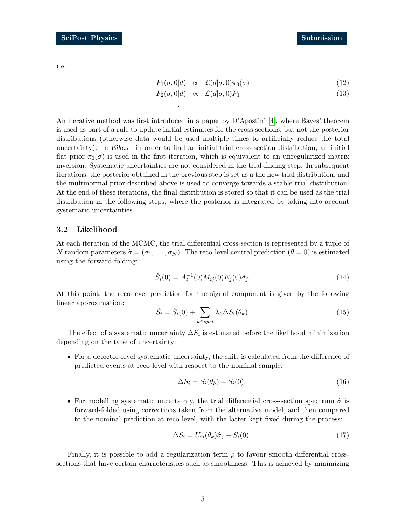i.e. :

$$
P_1(\sigma, 0|d) \quad \propto \quad \mathcal{L}(d|\sigma, 0)\pi_0(\sigma) \tag{12}
$$

$$
P_2(\sigma, 0|d) \propto \mathcal{L}(d|\sigma, 0)P_1 \tag{13}
$$

. . .

An iterative method was first introduced in a paper by D'Agostini [\[4\]](#page-21-3), where Bayes' theorem is used as part of a rule to update initial estimates for the cross sections, but not the posterior distributions (otherwise data would be used multiple times to artificially reduce the total uncertainty). In Eikos , in order to find an initial trial cross-section distribution, an initial flat prior  $\pi_0(\sigma)$  is used in the first iteration, which is equivalent to an unregularized matrix inversion. Systematic uncertainties are not considered in the trial-finding step. In subsequent iterations, the posterior obtained in the previous step is set as a the new trial distribution, and the multinormal prior described above is used to converge towards a stable trial distribution. At the end of these iterations, the final distribution is stored so that it can be used as the trial distribution in the following steps, where the posterior is integrated by taking into account systematic uncertainties.

#### <span id="page-4-0"></span>3.2 Likelihood

At each iteration of the MCMC, the trial differential cross-section is represented by a tuple of N random parameters  $\hat{\sigma} = (\sigma_1, \ldots, \sigma_N)$ . The reco-level central prediction  $(\theta = 0)$  is estimated using the forward folding:

$$
\hat{S}_i(0) = A_i^{-1}(0)M_{ij}(0)E_j(0)\hat{\sigma}_j.
$$
\n(14)

At this point, the reco-level prediction for the signal component is given by the following linear approximation:

$$
\hat{S}_i = \hat{S}_i(0) + \sum_{k \in syst} \lambda_k \Delta S_i(\theta_k). \tag{15}
$$

The effect of a systematic uncertainty  $\Delta S_i$  is estimated before the likelihood minimization depending on the type of uncertainty:

• For a detector-level systematic uncertainty, the shift is calculated from the difference of predicted events at reco level with respect to the nominal sample:

$$
\Delta S_i = S_i(\theta_k) - S_i(0). \tag{16}
$$

• For modelling systematic uncertainty, the trial differential cross-section spectrum  $\hat{\sigma}$  is forward-folded using corrections taken from the alternative model, and then compared to the nominal prediction at reco-level, with the latter kept fixed during the process:

$$
\Delta S_i = U_{ij}(\theta_k)\hat{\sigma}_j - S_i(0). \tag{17}
$$

Finally, it is possible to add a regularization term  $\rho$  to favour smooth differential crosssections that have certain characteristics such as smoothness. This is achieved by minimizing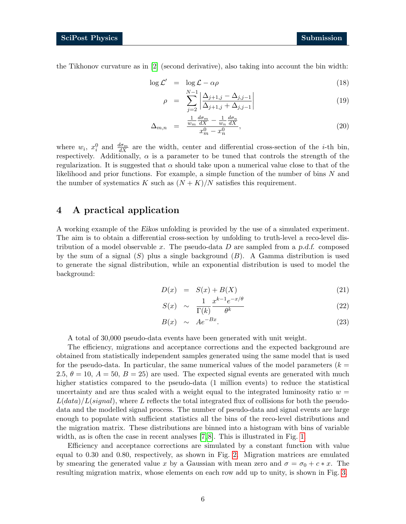the Tikhonov curvature as in [\[2\]](#page-21-1) (second derivative), also taking into account the bin width:

$$
\log \mathcal{L}' = \log \mathcal{L} - \alpha \rho \tag{18}
$$

$$
\rho = \sum_{j=2}^{N-1} \left| \frac{\Delta_{j+1,j} - \Delta_{j,j-1}}{\Delta_{j+1,j} + \Delta_{j,j-1}} \right| \tag{19}
$$

$$
\Delta_{m,n} = \frac{\frac{1}{w_m} \frac{d\sigma_m}{dX} - \frac{1}{w_n} \frac{d\sigma_n}{dX}}{x_m^0 - x_n^0},\tag{20}
$$

where  $w_i$ ,  $x_i^0$  and  $\frac{d\sigma_m}{dX}$  are the width, center and differential cross-section of the *i*-th bin, respectively. Additionally,  $\alpha$  is a parameter to be tuned that controls the strength of the regularization. It is suggested that  $\alpha$  should take upon a numerical value close to that of the likelihood and prior functions. For example, a simple function of the number of bins N and the number of systematics K such as  $(N + K)/N$  satisfies this requirement.

### <span id="page-5-0"></span>4 A practical application

A working example of the Eikos unfolding is provided by the use of a simulated experiment. The aim is to obtain a differential cross-section by unfolding to truth-level a reco-level distribution of a model observable x. The pseudo-data  $D$  are sampled from a p.d.f. composed by the sum of a signal  $(S)$  plus a single background  $(B)$ . A Gamma distribution is used to generate the signal distribution, while an exponential distribution is used to model the background:

$$
D(x) = S(x) + B(X) \tag{21}
$$

$$
S(x) \sim \frac{1}{\Gamma(k)} \frac{x^{k-1} e^{-x/\theta}}{\theta^k} \tag{22}
$$

$$
B(x) \sim Ae^{-Bx}.
$$
 (23)

A total of 30,000 pseudo-data events have been generated with unit weight.

The efficiency, migrations and acceptance corrections and the expected background are obtained from statistically independent samples generated using the same model that is used for the pseudo-data. In particular, the same numerical values of the model parameters  $(k =$ 2.5,  $\theta = 10$ ,  $A = 50$ ,  $B = 25$ ) are used. The expected signal events are generated with much higher statistics compared to the pseudo-data (1 million events) to reduce the statistical uncertainty and are thus scaled with a weight equal to the integrated luminosity ratio  $w =$  $L(data)/L(signal)$ , where L reflects the total integrated flux of collisions for both the pseudodata and the modelled signal process. The number of pseudo-data and signal events are large enough to populate with sufficient statistics all the bins of the reco-level distributions and the migration matrix. These distributions are binned into a histogram with bins of variable width, as is often the case in recent analyses [\[7,](#page-21-6) [8\]](#page-21-7). This is illustrated in Fig. [1.](#page-6-0)

Efficiency and acceptance corrections are simulated by a constant function with value equal to 0.30 and 0.80, respectively, as shown in Fig. [2.](#page-7-0) Migration matrices are emulated by smearing the generated value x by a Gaussian with mean zero and  $\sigma = \sigma_0 + c * x$ . The resulting migration matrix, whose elements on each row add up to unity, is shown in Fig. [3.](#page-7-1)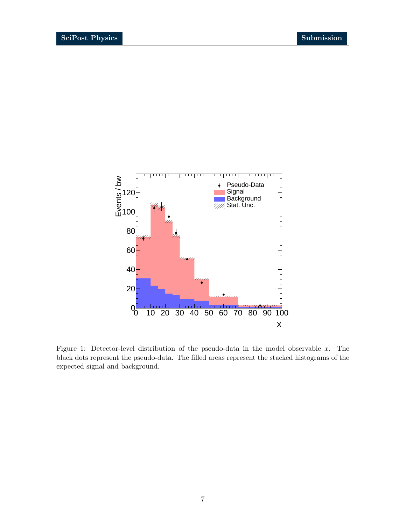

<span id="page-6-0"></span>Figure 1: Detector-level distribution of the pseudo-data in the model observable x. The black dots represent the pseudo-data. The filled areas represent the stacked histograms of the expected signal and background.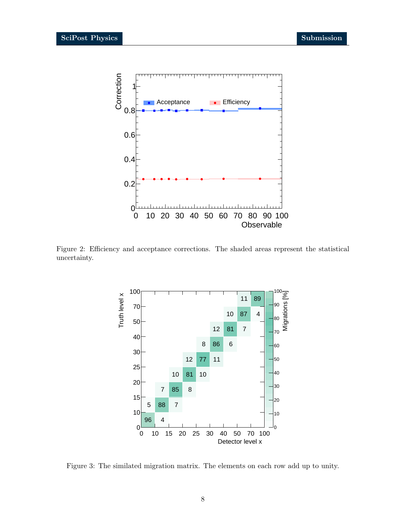

<span id="page-7-0"></span>Figure 2: Efficiency and acceptance corrections. The shaded areas represent the statistical uncertainty.



<span id="page-7-1"></span>Figure 3: The similated migration matrix. The elements on each row add up to unity.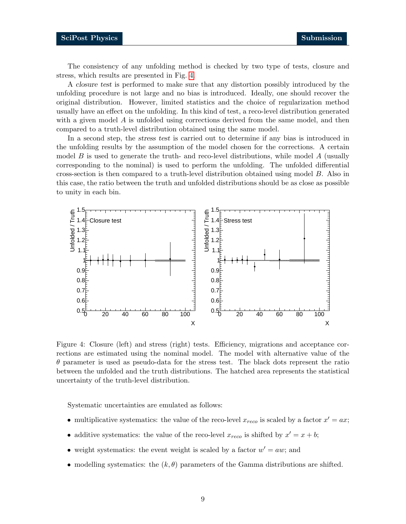The consistency of any unfolding method is checked by two type of tests, closure and stress, which results are presented in Fig. [4.](#page-8-0)

A closure test is performed to make sure that any distortion possibly introduced by the unfolding procedure is not large and no bias is introduced. Ideally, one should recover the original distribution. However, limited statistics and the choice of regularization method usually have an effect on the unfolding. In this kind of test, a reco-level distribution generated with a given model A is unfolded using corrections derived from the same model, and then compared to a truth-level distribution obtained using the same model.

In a second step, the stress test is carried out to determine if any bias is introduced in the unfolding results by the assumption of the model chosen for the corrections. A certain model  $B$  is used to generate the truth- and reco-level distributions, while model  $A$  (usually corresponding to the nominal) is used to perform the unfolding. The unfolded differential cross-section is then compared to a truth-level distribution obtained using model B. Also in this case, the ratio between the truth and unfolded distributions should be as close as possible to unity in each bin.



<span id="page-8-0"></span>Figure 4: Closure (left) and stress (right) tests. Efficiency, migrations and acceptance corrections are estimated using the nominal model. The model with alternative value of the  $\theta$  parameter is used as pseudo-data for the stress test. The black dots represent the ratio between the unfolded and the truth distributions. The hatched area represents the statistical uncertainty of the truth-level distribution.

Systematic uncertainties are emulated as follows:

- multiplicative systematics: the value of the reco-level  $x_{reco}$  is scaled by a factor  $x' = ax$ ;
- additive systematics: the value of the reco-level  $x_{reco}$  is shifted by  $x' = x + b$ ;
- weight systematics: the event weight is scaled by a factor  $w' = aw$ ; and
- modelling systematics: the  $(k, \theta)$  parameters of the Gamma distributions are shifted.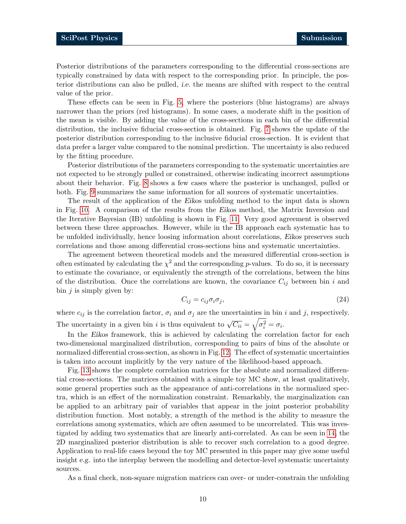Posterior distributions of the parameters corresponding to the differential cross-sections are typically constrained by data with respect to the corresponding prior. In principle, the posterior distributions can also be pulled, i.e. the means are shifted with respect to the central value of the prior.

These effects can be seen in Fig. [5,](#page-10-0) where the posteriors (blue histograms) are always narrower than the priors (red histograms). In some cases, a moderate shift in the position of the mean is visible. By adding the value of the cross-sections in each bin of the differential distribution, the inclusive fiducial cross-section is obtained. Fig. [7](#page-12-0) shows the update of the posterior distribution corresponding to the inclusive fiducial cross-section. It is evident that data prefer a larger value compared to the nominal prediction. The uncertainty is also reduced by the fitting procedure.

Posterior distributions of the parameters corresponding to the systematic uncertainties are not expected to be strongly pulled or constrained, otherwise indicating incorrect assumptions about their behavior. Fig. [8](#page-12-1) shows a few cases where the posterior is unchanged, pulled or both. Fig. [9](#page-13-0) summarizes the same information for all sources of systematic uncertainties.

The result of the application of the Eikos unfolding method to the input data is shown in Fig. [10.](#page-14-0) A comparison of the results from the Eikos method, the Matrix Inversion and the Iterative Bayesian (IB) unfolding is shown in Fig. [11.](#page-15-0) Very good agreement is observed between these three approaches. However, while in the IB approach each systematic has to be unfolded individually, hence loosing information about correlations, Eikos preserves such correlations and those among differential cross-sections bins and systematic uncertainties.

The agreement between theoretical models and the measured differential cross-section is often estimated by calculating the  $\chi^2$  and the corresponding p-values. To do so, it is necessary to estimate the covariance, or equivalently the strength of the correlations, between the bins of the distribution. Once the correlations are known, the covariance  $C_{ij}$  between bin i and bin  $j$  is simply given by:

$$
C_{ij} = c_{ij}\sigma_i\sigma_j,\tag{24}
$$

where  $c_{ij}$  is the correlation factor,  $\sigma_i$  and  $\sigma_j$  are the uncertainties in bin i and j, respectively. The uncertainty in a given bin i is thus equivalent to  $\sqrt{C_{ii}} = \sqrt{\sigma_i^2} = \sigma_i$ .

In the Eikos framework, this is achieved by calculating the correlation factor for each two-dimensional marginalized distribution, corresponding to pairs of bins of the absolute or normalized differential cross-section, as shown in Fig. [12.](#page-16-0) The effect of systematic uncertainties is taken into account implicitly by the very nature of the likelihood-based approach.

Fig. [13](#page-17-0) shows the complete correlation matrices for the absolute and normalized differential cross-sections. The matrices obtained with a simple toy MC show, at least qualitatively, some general properties such as the appearance of anti-correlations in the normalized spectra, which is an effect of the normalization constraint. Remarkably, the marginalization can be applied to an arbitrary pair of variables that appear in the joint posterior probability distribution function. Most notably, a strength of the method is the ability to measure the correlations among systematics, which are often assumed to be uncorrelated. This was investigated by adding two systematics that are linearly anti-correlated. As can be seen in [14,](#page-18-1) the 2D marginalized posterior distribution is able to recover such correlation to a good degree. Application to real-life cases beyond the toy MC presented in this paper may give some useful insight e.g. into the interplay between the modelling and detector-level systematic uncertainty sources.

As a final check, non-square migration matrices can over- or under-constrain the unfolding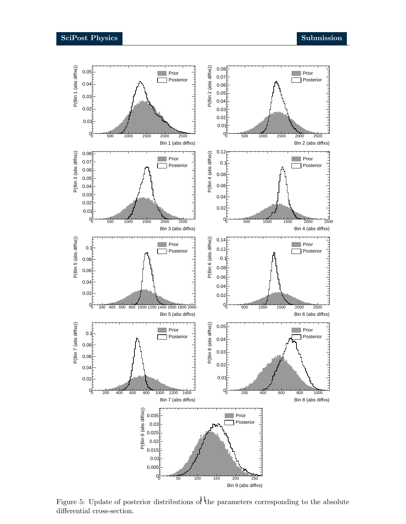

<span id="page-10-0"></span>Figure 5: Update of posterior distributions of the parameters corresponding to the absolute differential cross-section.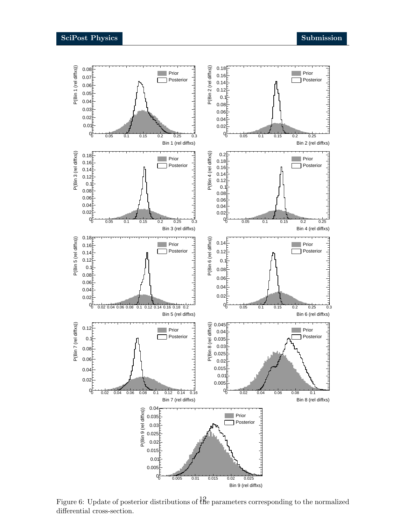

Figure 6: Update of posterior distributions of  $\hat{H}^2$  parameters corresponding to the normalized differential cross-section.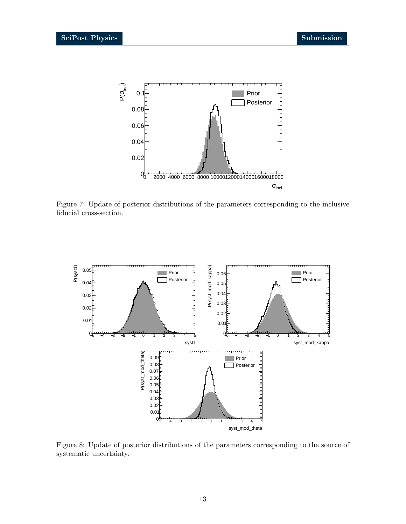

<span id="page-12-0"></span>Figure 7: Update of posterior distributions of the parameters corresponding to the inclusive fiducial cross-section.



<span id="page-12-1"></span>Figure 8: Update of posterior distributions of the parameters corresponding to the source of systematic uncertainty.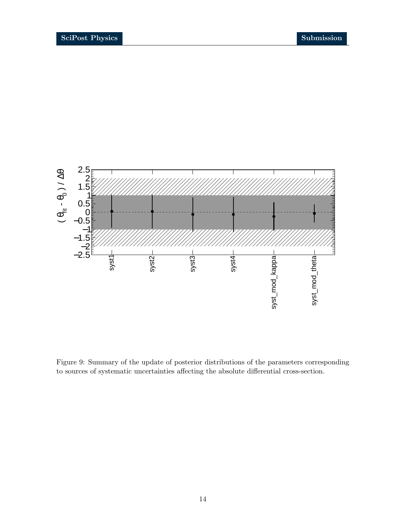

<span id="page-13-0"></span>Figure 9: Summary of the update of posterior distributions of the parameters corresponding to sources of systematic uncertainties affecting the absolute differential cross-section.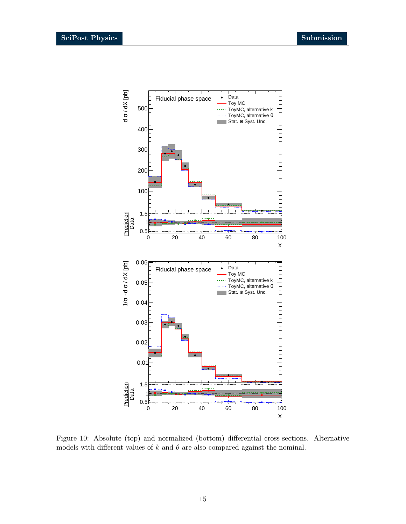

<span id="page-14-0"></span>Figure 10: Absolute (top) and normalized (bottom) differential cross-sections. Alternative models with different values of  $k$  and  $\theta$  are also compared against the nominal.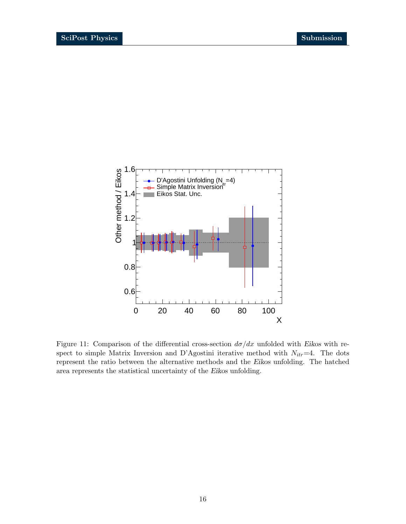

<span id="page-15-0"></span>Figure 11: Comparison of the differential cross-section  $d\sigma/dx$  unfolded with Eikos with respect to simple Matrix Inversion and D'Agostini iterative method with  $N_{itr}=4$ . The dots represent the ratio between the alternative methods and the Eikos unfolding. The hatched area represents the statistical uncertainty of the Eikos unfolding.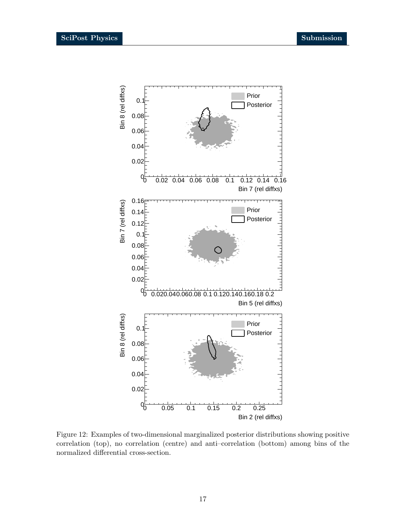

<span id="page-16-0"></span>Figure 12: Examples of two-dimensional marginalized posterior distributions showing positive correlation (top), no correlation (centre) and anti–correlation (bottom) among bins of the normalized differential cross-section.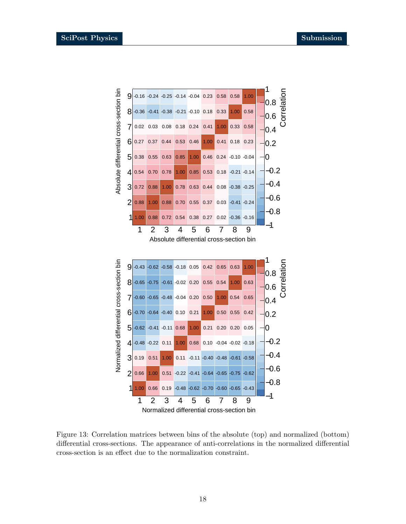

<span id="page-17-0"></span>Figure 13: Correlation matrices between bins of the absolute (top) and normalized (bottom) differential cross-sections. The appearance of anti-correlations in the normalized differential cross-section is an effect due to the normalization constraint.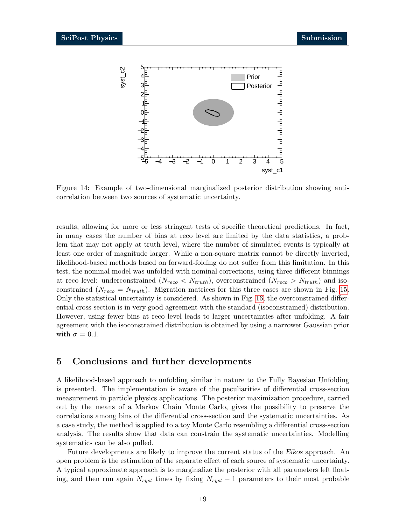

<span id="page-18-1"></span>Figure 14: Example of two-dimensional marginalized posterior distribution showing anticorrelation between two sources of systematic uncertainty.

results, allowing for more or less stringent tests of specific theoretical predictions. In fact, in many cases the number of bins at reco level are limited by the data statistics, a problem that may not apply at truth level, where the number of simulated events is typically at least one order of magnitude larger. While a non-square matrix cannot be directly inverted, likelihood-based methods based on forward-folding do not suffer from this limitation. In this test, the nominal model was unfolded with nominal corrections, using three different binnings at reco level: underconstrained  $(N_{reco} < N_{truth})$ , overconstrained  $(N_{reco} > N_{truth})$  and isoconstrained  $(N_{reco} = N_{truth})$ . Migration matrices for this three cases are shown in Fig. [15.](#page-19-0) Only the statistical uncertainty is considered. As shown in Fig. [16,](#page-20-0) the overconstrained differential cross-section is in very good agreement with the standard (isoconstrained) distribution. However, using fewer bins at reco level leads to larger uncertainties after unfolding. A fair agreement with the isoconstrained distribution is obtained by using a narrower Gaussian prior with  $\sigma = 0.1$ .

### <span id="page-18-0"></span>5 Conclusions and further developments

A likelihood-based approach to unfolding similar in nature to the Fully Bayesian Unfolding is presented. The implementation is aware of the peculiarities of differential cross-section measurement in particle physics applications. The posterior maximization procedure, carried out by the means of a Markov Chain Monte Carlo, gives the possibility to preserve the correlations among bins of the differential cross-section and the systematic uncertainties. As a case study, the method is applied to a toy Monte Carlo resembling a differential cross-section analysis. The results show that data can constrain the systematic uncertainties. Modelling systematics can be also pulled.

Future developments are likely to improve the current status of the Eikos approach. An open problem is the estimation of the separate effect of each source of systematic uncertainty. A typical approximate approach is to marginalize the posterior with all parameters left floating, and then run again  $N_{syst}$  times by fixing  $N_{syst} - 1$  parameters to their most probable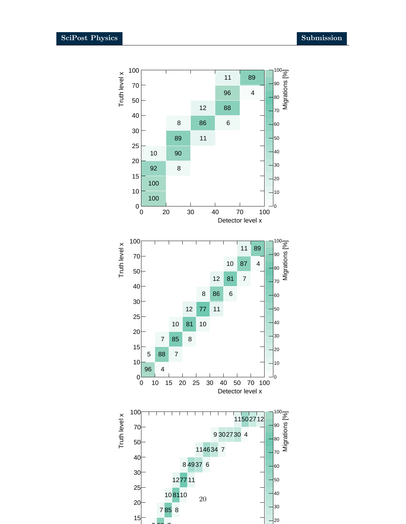<span id="page-19-0"></span>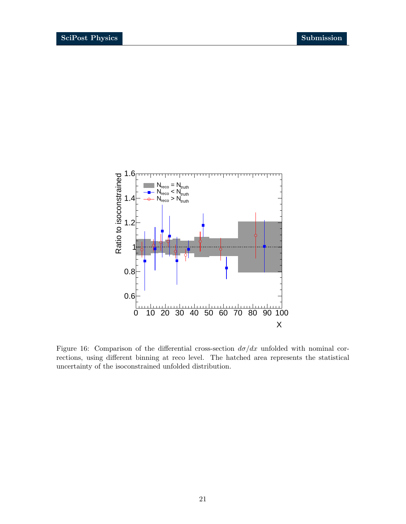

<span id="page-20-0"></span>Figure 16: Comparison of the differential cross-section  $d\sigma/dx$  unfolded with nominal corrections, using different binning at reco level. The hatched area represents the statistical uncertainty of the isoconstrained unfolded distribution.